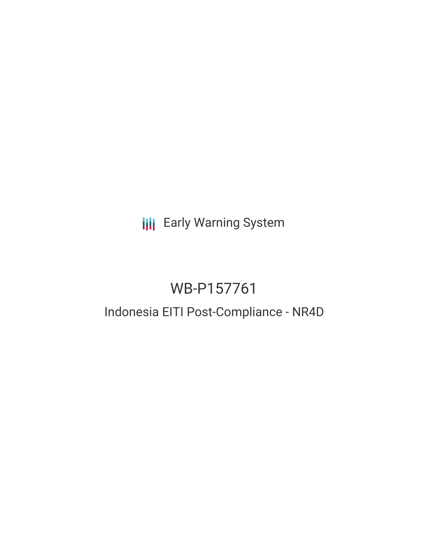**III** Early Warning System

# WB-P157761

# Indonesia EITI Post-Compliance - NR4D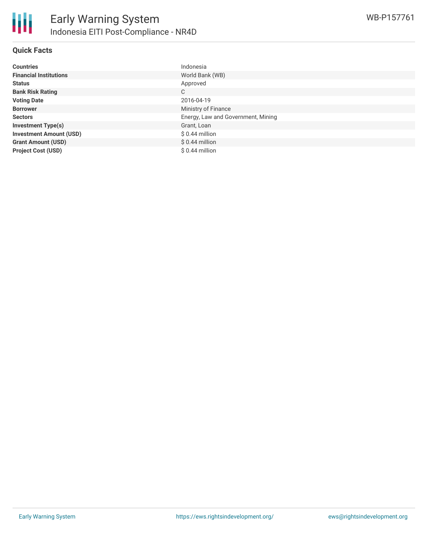

| Countries                      | Indonesia                          |
|--------------------------------|------------------------------------|
| <b>Financial Institutions</b>  | World Bank (WB)                    |
| Status                         | Approved                           |
| <b>Bank Risk Rating</b>        | C                                  |
| <b>Voting Date</b>             | 2016-04-19                         |
| <b>Borrower</b>                | Ministry of Finance                |
| Sectors                        | Energy, Law and Government, Mining |
| <b>Investment Type(s)</b>      | Grant, Loan                        |
| <b>Investment Amount (USD)</b> | $$0.44$ million                    |
| <b>Grant Amount (USD)</b>      | $$0.44$ million                    |
| <b>Project Cost (USD)</b>      | $$0.44$ million                    |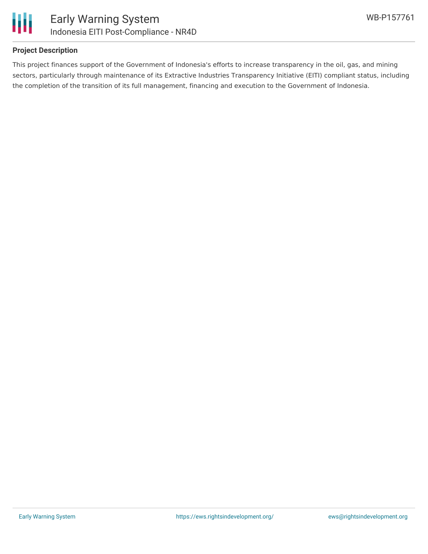

#### **Project Description**

This project finances support of the Government of Indonesia's efforts to increase transparency in the oil, gas, and mining sectors, particularly through maintenance of its Extractive Industries Transparency Initiative (EITI) compliant status, including the completion of the transition of its full management, financing and execution to the Government of Indonesia.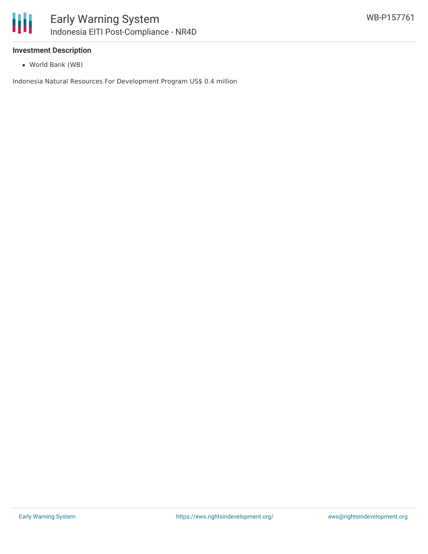#### **Investment Description**

World Bank (WB)

Indonesia Natural Resources For Development Program US\$ 0.4 million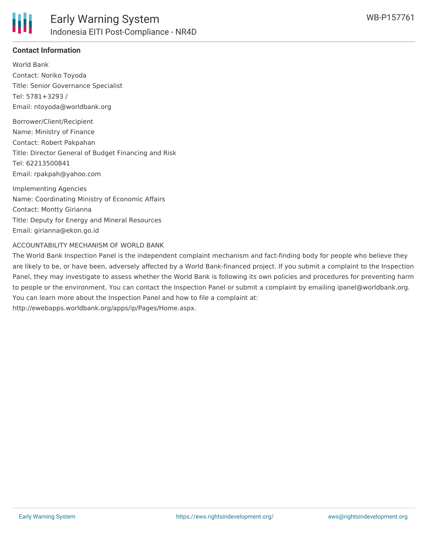

## **Contact Information**

World Bank Contact: Noriko Toyoda Title: Senior Governance Specialist Tel: 5781+3293 / Email: ntoyoda@worldbank.org

Borrower/Client/Recipient Name: Ministry of Finance Contact: Robert Pakpahan Title: Director General of Budget Financing and Risk Tel: 62213500841 Email: rpakpah@yahoo.com

Implementing Agencies Name: Coordinating Ministry of Economic Affairs Contact: Montty Girianna Title: Deputy for Energy and Mineral Resources Email: girianna@ekon.go.id

#### ACCOUNTABILITY MECHANISM OF WORLD BANK

The World Bank Inspection Panel is the independent complaint mechanism and fact-finding body for people who believe they are likely to be, or have been, adversely affected by a World Bank-financed project. If you submit a complaint to the Inspection Panel, they may investigate to assess whether the World Bank is following its own policies and procedures for preventing harm to people or the environment. You can contact the Inspection Panel or submit a complaint by emailing ipanel@worldbank.org. You can learn more about the Inspection Panel and how to file a complaint at: http://ewebapps.worldbank.org/apps/ip/Pages/Home.aspx.